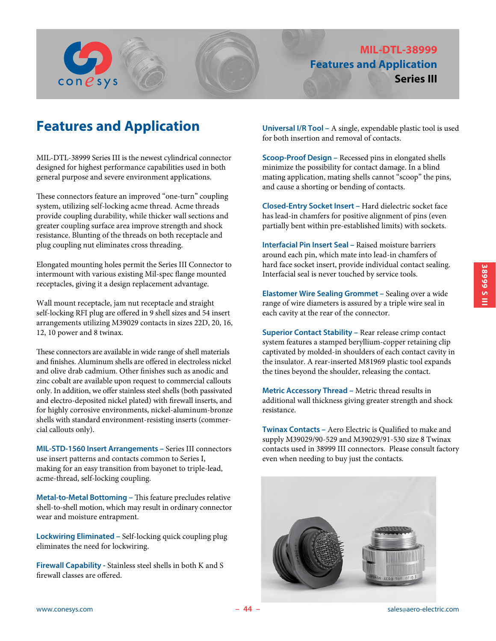

# **Features and Application**

MIL-DTL-38999 Series III is the newest cylindrical connector designed for highest performance capabilities used in both general purpose and severe environment applications.

These connectors feature an improved "one-turn" coupling system, utilizing self-locking acme thread. Acme threads provide coupling durability, while thicker wall sections and greater coupling surface area improve strength and shock resistance. Blunting of the threads on both receptacle and plug coupling nut eliminates cross threading.

Elongated mounting holes permit the Series III Connector to intermount with various existing Mil-spec flange mounted receptacles, giving it a design replacement advantage.

Wall mount receptacle, jam nut receptacle and straight self-locking RFI plug are offered in 9 shell sizes and 54 insert arrangements utilizing M39029 contacts in sizes 22D, 20, 16, 12, 10 power and 8 twinax.

These connectors are available in wide range of shell materials and finishes. Aluminum shells are offered in electroless nickel and olive drab cadmium. Other finishes such as anodic and zinc cobalt are available upon request to commercial callouts only. In addition, we offer stainless steel shells (both passivated and electro-deposited nickel plated) with firewall inserts, and for highly corrosive environments, nickel-aluminum-bronze shells with standard environment-resisting inserts (commercial callouts only).

**MIL-STD-1560 Insert Arrangements –** Series III connectors use insert patterns and contacts common to Series I, making for an easy transition from bayonet to triple-lead, acme-thread, self-locking coupling.

**Metal-to-Metal Bottoming –** This feature precludes relative shell-to-shell motion, which may result in ordinary connector wear and moisture entrapment.

**Lockwiring Eliminated –** Self-locking quick coupling plug eliminates the need for lockwiring.

**Firewall Capability -** Stainless steel shells in both K and S firewall classes are offered.

**Universal I/R Tool –** A single, expendable plastic tool is used for both insertion and removal of contacts.

**Scoop-Proof Design –** Recessed pins in elongated shells minimize the possibility for contact damage. In a blind mating application, mating shells cannot "scoop" the pins, and cause a shorting or bending of contacts.

**Closed-Entry Socket Insert –** Hard dielectric socket face has lead-in chamfers for positive alignment of pins (even partially bent within pre-established limits) with sockets.

**Interfacial Pin Insert Seal –** Raised moisture barriers around each pin, which mate into lead-in chamfers of hard face socket insert, provide individual contact sealing. Interfacial seal is never touched by service tools.

**Elastomer Wire Sealing Grommet –** Sealing over a wide range of wire diameters is assured by a triple wire seal in each cavity at the rear of the connector.

**Superior Contact Stability –** Rear release crimp contact system features a stamped beryllium-copper retaining clip captivated by molded-in shoulders of each contact cavity in the insulator. A rear-inserted M81969 plastic tool expands the tines beyond the shoulder, releasing the contact.

**Metric Accessory Thread –** Metric thread results in additional wall thickness giving greater strength and shock resistance.

**Twinax Contacts –** Aero Electric is Qualified to make and supply M39029/90-529 and M39029/91-530 size 8 Twinax contacts used in 38999 III connectors. Please consult factory even when needing to buy just the contacts.

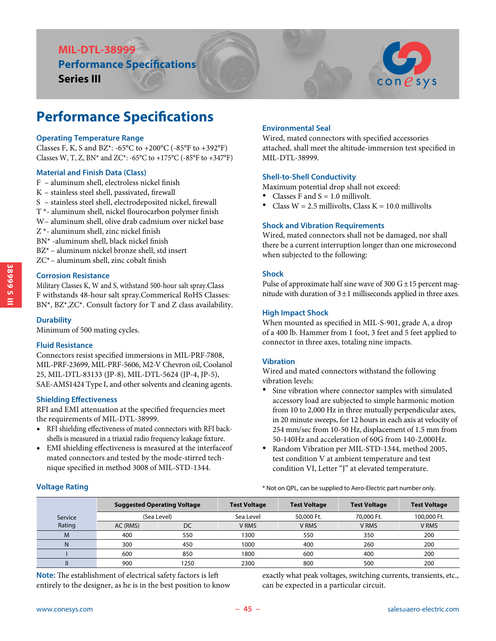## **MIL-DTL-38999 Performance Specifications**

**Series III**



# **Performance Specifications**

#### **Operating Temperature Range**

Classes F, K, S and BZ\*: -65°C to +200°C (-85°F to +392°F) Classes W, T, Z, BN\* and ZC\*: -65°C to +175°C (-85°F to +347°F)

#### **Material and Finish Data (Class)**

- F aluminum shell, electroless nickel finish
- K stainless steel shell, passivated, firewall
- S stainless steel shell, electrodeposited nickel, firewall
- T \*- aluminum shell, nickel flourocarbon polymer finish
- W- aluminum shell, olive drab cadmium over nickel base
- Z \*- aluminum shell, zinc nickel finish
- BN\* -aluminum shell, black nickel finish
- BZ\* aluminum nickel bronze shell, std insert
- ZC\*– aluminum shell, zinc cobalt finish

#### **Corrosion Resistance**

Military Classes K, W and S, withstand 500-hour salt spray.Class F withstands 48-hour salt spray.Commerical RoHS Classes: BN\*, BZ\*,ZC\*. Consult factory for T and Z class availability.

#### **Durability**

Minimum of 500 mating cycles.

#### **Fluid Resistance**

Connectors resist specified immersions in MIL-PRF-7808, MIL-PRF-23699, MIL-PRF-5606, M2-V Chevron oil, Coolanol 25, MIL-DTL-83133 (JP-8), MIL-DTL-5624 (JP-4, JP-5), SAE-AMS1424 Type I, and other solvents and cleaning agents.

#### **Shielding Effectiveness**

RFI and EMI attenuation at the specified frequencies meet the requirements of MIL-DTL-38999.

- RFI shielding effectiveness of mated connectors with RFI backshells is measured in a triaxial radio frequency leakage fixture.
- EMI shielding effectiveness is measured at the interfaceof mated connectors and tested by the mode-stirred technique specified in method 3008 of MIL-STD-1344.

#### **Environmental Seal**

Wired, mated connectors with specified accessories attached, shall meet the altitude-immersion test specified in MIL-DTL-38999.

#### **Shell-to-Shell Conductivity**

Maximum potential drop shall not exceed:

- 
- Classes F and  $S = 1.0$  millivolt.<br>Class W = 2.5 millivolts, Class K = 10.0 millivolts

#### **Shock and Vibration Requirements**

Wired, mated connectors shall not be damaged, nor shall there be a current interruption longer than one microsecond when subjected to the following:

#### **Shock**

Pulse of approximate half sine wave of 300  $G \pm 15$  percent magnitude with duration of  $3 \pm 1$  milliseconds applied in three axes.

#### **High Impact Shock**

When mounted as specified in MIL-S-901, grade A, a drop of a 400 lb. Hammer from 1 foot, 3 feet and 5 feet applied to connector in three axes, totaling nine impacts.

#### **Vibration**

Wired and mated connectors withstand the following vibration levels:

- Sine vibration where connector samples with simulated accessory load are subjected to simple harmonic motion from 10 to 2,000 Hz in three mutually perpendicular axes, in 20 minute sweeps, for 12 hours in each axis at velocity of 254 mm/sec from 10-50 Hz, displacement of 1.5 mm from 50-140Hz and acceleration of 60G from 140-2,000Hz.
- Random Vibration per MIL-STD-1344, method 2005, test condition V at ambient temperature and test condition VI, Letter "J" at elevated temperature.

#### \* Not on QPL, can be supplied to Aero-Electric part number only.

|         |                | <b>Suggested Operating Voltage</b> | <b>Test Voltage</b> | <b>Test Voltage</b> | <b>Test Voltage</b> | <b>Test Voltage</b> |  |
|---------|----------------|------------------------------------|---------------------|---------------------|---------------------|---------------------|--|
| Service | (Sea Level)    |                                    | Sea Level           | 50,000 Ft.          | 70,000 Ft.          | 100,000 Ft.         |  |
| Rating  | DC<br>AC (RMS) |                                    | V RMS               | V RMS               | V RMS               | V RMS               |  |
| M       | 400            | 550                                | 1300                | 550                 | 350                 | 200                 |  |
| N       | 300            | 450                                | 1000                | 400                 | 260                 | 200                 |  |
|         | 600            | 850                                | 1800                | 600                 | 400                 | 200                 |  |
|         | 900            | 1250                               | 2300                | 800                 | 500                 | 200                 |  |

**Note:** The establishment of electrical safety factors is left entirely to the designer, as he is in the best position to know exactly what peak voltages, switching currents, transients, etc., can be expected in a particular circuit.

**Voltage Rating**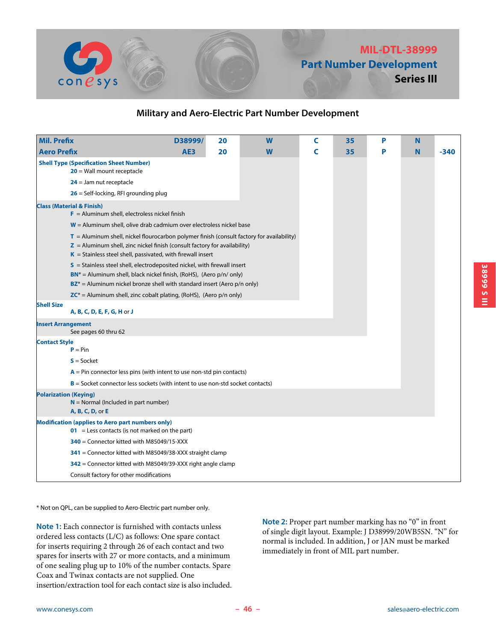

## **MIL-DTL-38999 Part Number Development Series III**

### **Military and Aero-Electric Part Number Development**

| <b>Mil. Prefix</b>                                                                                                                                                                                                                                                                                                                                                                                                                                                                                                                                           | D38999/         | 20 | W | C | 35 | P | N |        |  |
|--------------------------------------------------------------------------------------------------------------------------------------------------------------------------------------------------------------------------------------------------------------------------------------------------------------------------------------------------------------------------------------------------------------------------------------------------------------------------------------------------------------------------------------------------------------|-----------------|----|---|---|----|---|---|--------|--|
| <b>Aero Prefix</b>                                                                                                                                                                                                                                                                                                                                                                                                                                                                                                                                           | AE <sub>3</sub> | 20 | W | C | 35 | P | N | $-340$ |  |
| <b>Shell Type (Specification Sheet Number)</b><br>$20$ = Wall mount receptacle                                                                                                                                                                                                                                                                                                                                                                                                                                                                               |                 |    |   |   |    |   |   |        |  |
| $24$ = Jam nut receptacle                                                                                                                                                                                                                                                                                                                                                                                                                                                                                                                                    |                 |    |   |   |    |   |   |        |  |
| $26$ = Self-locking, RFI grounding plug                                                                                                                                                                                                                                                                                                                                                                                                                                                                                                                      |                 |    |   |   |    |   |   |        |  |
| <b>Class (Material &amp; Finish)</b><br>$F =$ Aluminum shell, electroless nickel finish                                                                                                                                                                                                                                                                                                                                                                                                                                                                      |                 |    |   |   |    |   |   |        |  |
| $W =$ Aluminum shell, olive drab cadmium over electroless nickel base                                                                                                                                                                                                                                                                                                                                                                                                                                                                                        |                 |    |   |   |    |   |   |        |  |
| $T =$ Aluminum shell, nickel flourocarbon polymer finish (consult factory for availability)<br>$Z =$ Aluminum shell, zinc nickel finish (consult factory for availability)<br>$K =$ Stainless steel shell, passivated, with firewall insert<br>$S =$ Stainless steel shell, electrodeposited nickel, with firewall insert<br>$BN^*$ = Aluminum shell, black nickel finish, (RoHS), (Aero $p/n/$ only)<br>$BZ^*$ = Aluminum nickel bronze shell with standard insert (Aero p/n only)<br>$ZC^*$ = Aluminum shell, zinc cobalt plating, (RoHS), (Aero p/n only) |                 |    |   |   |    |   |   |        |  |
| <b>Shell Size</b>                                                                                                                                                                                                                                                                                                                                                                                                                                                                                                                                            |                 |    |   |   |    |   |   |        |  |
| A, B, C, D, E, F, G, H or J                                                                                                                                                                                                                                                                                                                                                                                                                                                                                                                                  |                 |    |   |   |    |   |   |        |  |
| <b>Insert Arrangement</b><br>See pages 60 thru 62                                                                                                                                                                                                                                                                                                                                                                                                                                                                                                            |                 |    |   |   |    |   |   |        |  |
| <b>Contact Style</b>                                                                                                                                                                                                                                                                                                                                                                                                                                                                                                                                         |                 |    |   |   |    |   |   |        |  |
| $P = Pin$                                                                                                                                                                                                                                                                                                                                                                                                                                                                                                                                                    |                 |    |   |   |    |   |   |        |  |
| $S = S$ ocket                                                                                                                                                                                                                                                                                                                                                                                                                                                                                                                                                |                 |    |   |   |    |   |   |        |  |
| $A = Pin$ connector less pins (with intent to use non-std pin contacts)                                                                                                                                                                                                                                                                                                                                                                                                                                                                                      |                 |    |   |   |    |   |   |        |  |
| $B =$ Socket connector less sockets (with intent to use non-std socket contacts)                                                                                                                                                                                                                                                                                                                                                                                                                                                                             |                 |    |   |   |    |   |   |        |  |
| <b>Polarization (Keying)</b><br>$N =$ Normal (Included in part number)<br>A, B, C, D, or E                                                                                                                                                                                                                                                                                                                                                                                                                                                                   |                 |    |   |   |    |   |   |        |  |
| <b>Modification (applies to Aero part numbers only)</b><br>$\bullet$ 1 = Less contacts (is not marked on the part)                                                                                                                                                                                                                                                                                                                                                                                                                                           |                 |    |   |   |    |   |   |        |  |
| $340$ = Connector kitted with M85049/15-XXX                                                                                                                                                                                                                                                                                                                                                                                                                                                                                                                  |                 |    |   |   |    |   |   |        |  |
| 341 = Connector kitted with M85049/38-XXX straight clamp                                                                                                                                                                                                                                                                                                                                                                                                                                                                                                     |                 |    |   |   |    |   |   |        |  |
| 342 = Connector kitted with M85049/39-XXX right angle clamp                                                                                                                                                                                                                                                                                                                                                                                                                                                                                                  |                 |    |   |   |    |   |   |        |  |
| Consult factory for other modifications                                                                                                                                                                                                                                                                                                                                                                                                                                                                                                                      |                 |    |   |   |    |   |   |        |  |

\* Not on QPL, can be supplied to Aero-Electric part number only.

**Note 1:** Each connector is furnished with contacts unless ordered less contacts (L/C) as follows: One spare contact for inserts requiring 2 through 26 of each contact and two spares for inserts with 27 or more contacts, and a minimum of one sealing plug up to 10% of the number contacts. Spare Coax and Twinax contacts are not supplied. One insertion/extraction tool for each contact size is also included.

**Note 2:** Proper part number marking has no "0" in front of single digit layout. Example: J D38999/20WB5SN. "N" for normal is included. In addition, J or JAN must be marked immediately in front of MIL part number.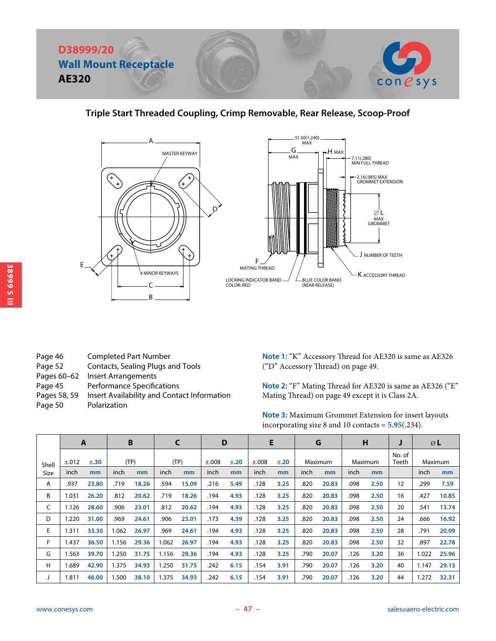

### **Triple Start Threaded Coupling, Crimp Removable, Rear Release, Scoop-Proof**





- Page 46 Completed Part Number Page 52 Contacts, Sealing Plugs and Tools Pages 60–62 Insert Arrangements Page 45 Performance Specifications Pages 58, 59 Insert Availability and Contact Information
- Page 50 Polarization

**Note 1:** "K" Accessory Thread for AE320 is same as AE326 ("D" Accessory Thread) on page 49.

**Note 2:** "F" Mating Thread for AE320 is same as AE326 ("E" Mating Thread) on page 49 except it is Class 2A.

**Note 3:** Maximum Grommet Extension for insert layouts incorporating size 8 and 10 contacts = **5.95**(.234).

|       | $\mathbf{A}$ |           |       | B     |       | C     | D     |           | E     |           |      | G       |      | н       |                 |       | ØL      |
|-------|--------------|-----------|-------|-------|-------|-------|-------|-----------|-------|-----------|------|---------|------|---------|-----------------|-------|---------|
| Shell | ±.012        | $\pm .30$ |       | (TP)  |       | (TP)  | ±.008 | $\pm .20$ | ±.008 | $\pm .20$ |      | Maximum |      | Maximum | No. of<br>Teeth |       | Maximum |
| Size  | inch         | mm        | inch  | mm    | inch  | mm    | inch  | mm        | inch  | mm        | inch | mm      | inch | mm      |                 | inch  | mm      |
| Α     | .937         | 23.80     | .719  | 18.26 | .594  | 15.09 | .216  | 5.49      | .128  | 3.25      | .820 | 20.83   | .098 | 2.50    | 12              | .299  | 7.59    |
| В     | 1.031        | 26.20     | .812  | 20.62 | .719  | 18.26 | .194  | 4.93      | .128  | 3.25      | .820 | 20.83   | .098 | 2.50    | 16              | .427  | 10.85   |
| C     | 1.126        | 28.60     | .906  | 23.01 | .812  | 20.62 | .194  | 4.93      | .128  | 3.25      | .820 | 20.83   | .098 | 2.50    | 20              | .541  | 13.74   |
| D     | .220         | 31.00     | .969  | 24.61 | .906  | 23.01 | .173  | 4.39      | .128  | 3.25      | .820 | 20.83   | .098 | 2.50    | 24              | .666  | 16.92   |
| E     | .311         | 33.30     | 1.062 | 26.97 | .969  | 24.61 | .194  | 4.93      | .128  | 3.25      | .820 | 20.83   | .098 | 2.50    | 28              | .791  | 20.09   |
| F     | l.437        | 36.50     | 1.156 | 29.36 | 1.062 | 26.97 | .194  | 4.93      | .128  | 3.25      | .820 | 20.83   | .098 | 2.50    | 32              | .897  | 22.78   |
| G     | .563         | 39.70     | 1.250 | 31.75 | 1.156 | 29.36 | .194  | 4.93      | .128  | 3.25      | .790 | 20.07   | .126 | 3.20    | 36              | 1.022 | 25.96   |
| H     | .689         | 42.90     | 1.375 | 34.93 | 1.250 | 31.75 | .242  | 6.15      | .154  | 3.91      | .790 | 20.07   | .126 | 3.20    | 40              | 1.147 | 29.13   |
|       | 1.811        | 46.00     | 1.500 | 38.10 | 1.375 | 34.93 | .242  | 6.15      | .154  | 3.91      | .790 | 20.07   | .126 | 3.20    | 44              | 1.272 | 32.31   |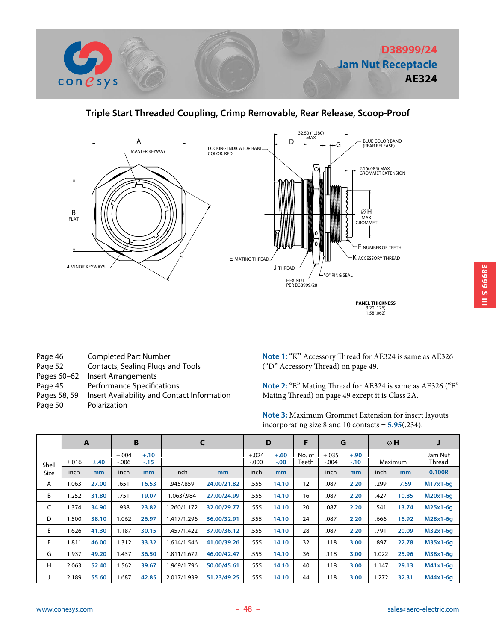

### **Triple Start Threaded Coupling, Crimp Removable, Rear Release, Scoop-Proof**



- Page 46 Completed Part Number
- Page 52 Contacts, Sealing Plugs and Tools
- Pages 60-62 Insert Arrangements
- Page 45 Performance Specifications
- Pages 58, 59 Insert Availability and Contact Information
- Page 50 Polarization

**Note 1:** "K" Accessory Thread for AE324 is same as AE326 ("D" Accessory Thread) on page 49.

**Note 2:** "E" Mating Thread for AE324 is same as AE326 ("E" Mating Thread) on page 49 except it is Class 2A.

**Note 3:** Maximum Grommet Extension for insert layouts incorporating size 8 and 10 contacts = **5.95**(.234).

|       |       | A              |                     | B                | C           |             |                     | D                |                 |                    | G                |       | ØH      | J                        |
|-------|-------|----------------|---------------------|------------------|-------------|-------------|---------------------|------------------|-----------------|--------------------|------------------|-------|---------|--------------------------|
| Shell | ±.016 | ±.40           | $+.004$<br>$-0.006$ | $+.10$<br>$-.15$ |             |             | $+.024$<br>$-0.000$ | $+.60$<br>$-.00$ | No. of<br>Teeth | $+.035$<br>$-.004$ | $+.90$<br>$-.10$ |       | Maximum | Jam Nut<br><b>Thread</b> |
| Size  | inch  | m <sub>m</sub> | <i>inch</i>         | mm               | inch        | mm          | inch                | mm               |                 | inch               | mm               | inch  | mm      | 0.100R                   |
| A     | 1.063 | 27.00          | .651                | 16.53            | .945/.859   | 24.00/21.82 | .555                | 14.10            | 12              | .087               | 2.20             | .299  | 7.59    | $M17x1-6q$               |
| В     | 1.252 | 31.80          | .751                | 19.07            | 1.063/.984  | 27.00/24.99 | .555                | 14.10            | 16              | .087               | 2.20             | .427  | 10.85   | M20x1-6q                 |
| C     | 1.374 | 34.90          | .938                | 23.82            | .260/1.172  | 32.00/29.77 | .555                | 14.10            | 20              | .087               | 2.20             | .541  | 13.74   | M25x1-6q                 |
| D     | 1.500 | 38.10          | .062                | 26.97            | 1.417/1.296 | 36.00/32.91 | .555                | 14.10            | 24              | .087               | 2.20             | .666  | 16.92   | M28x1-6q                 |
| E     | 1.626 | 41.30          | 1.187               | 30.15            | 1.457/1.422 | 37.00/36.12 | .555                | 14.10            | 28              | .087               | 2.20             | .791  | 20.09   | $M32x1-6q$               |
| F     | 1.811 | 46.00          | .312                | 33.32            | 1.614/1.546 | 41.00/39.26 | .555                | 14.10            | 32              | .118               | 3.00             | .897  | 22.78   | M35x1-6q                 |
| G     | 1.937 | 49.20          | .437                | 36.50            | 1.811/1.672 | 46.00/42.47 | .555                | 14.10            | 36              | .118               | 3.00             | 1.022 | 25.96   | M38x1-6q                 |
| H     | 2.063 | 52.40          | .562                | 39.67            | 1.969/1.796 | 50.00/45.61 | .555                | 14.10            | 40              | .118               | 3.00             | 1.147 | 29.13   | $M41x1-6q$               |
|       | 2.189 | 55.60          | .687                | 42.85            | 2.017/1.939 | 51.23/49.25 | .555                | 14.10            | 44              | .118               | 3.00             | 1.272 | 32.31   | $M44x1-6q$               |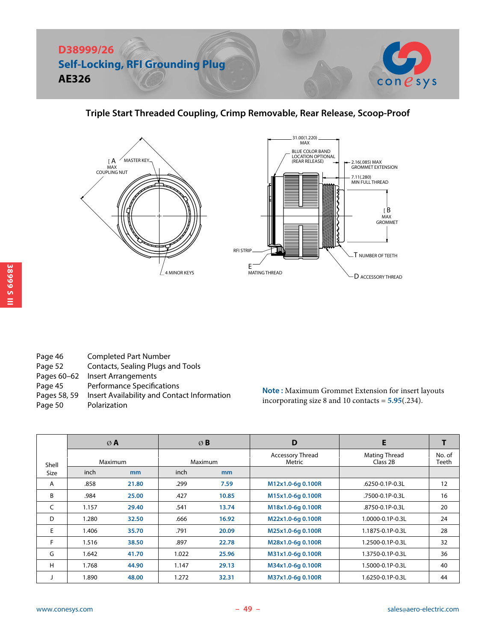

### **Triple Start Threaded Coupling, Crimp Removable, Rear Release, Scoop-Proof**





| Page 46      | <b>Completed Part Number</b>                |
|--------------|---------------------------------------------|
| Page 52      | Contacts, Sealing Plugs and Tools           |
| Pages 60-62  | Insert Arrangements                         |
| Page 45      | <b>Performance Specifications</b>           |
| Pages 58, 59 | Insert Availability and Contact Information |
| Page 50      | Polarization                                |

**Note :** Maximum Grommet Extension for insert layouts incorporating size 8 and 10 contacts = **5.95**(.234).

|             |       | ØA             |       | ØB             | D                                 | E                                |                 |
|-------------|-------|----------------|-------|----------------|-----------------------------------|----------------------------------|-----------------|
| Shell       |       | Maximum        |       | Maximum        | <b>Accessory Thread</b><br>Metric | <b>Mating Thread</b><br>Class 2B | No. of<br>Teeth |
| <b>Size</b> | inch  | m <sub>m</sub> | inch  | m <sub>m</sub> |                                   |                                  |                 |
| A           | .858  | 21.80          | .299  | 7.59           | M12x1.0-6g 0.100R                 | .6250-0.1P-0.3L                  | 12              |
| B           | .984  | 25.00          | .427  | 10.85          | M15x1.0-6g 0.100R                 | .7500-0.1P-0.3L                  | 16              |
| C           | 1.157 | 29.40          | .541  | 13.74          | M18x1.0-6g 0.100R                 | .8750-0.1P-0.3L                  | 20              |
| D           | 1.280 | 32.50          | .666  | 16.92          | M22x1.0-6g 0.100R                 | 1.0000-0.1P-0.3L                 | 24              |
| E           | 1.406 | 35.70          | .791  | 20.09          | M25x1.0-6q 0.100R                 | 1.1875-0.1P-0.3L                 | 28              |
| F           | 1.516 | 38.50          | .897  | 22.78          | M28x1.0-6q 0.100R                 | 1.2500-0.1P-0.3L                 | 32              |
| G           | 1.642 | 41.70          | 1.022 | 25.96          | M31x1.0-6q 0.100R                 | 1.3750-0.1P-0.3L                 | 36              |
| H           | 1.768 | 44.90          | 1.147 | 29.13          | M34x1.0-6q 0.100R                 | 1.5000-0.1P-0.3L                 | 40              |
|             | 1.890 | 48.00          | 1.272 | 32.31          | M37x1.0-6q 0.100R                 | 1.6250-0.1P-0.3L                 | 44              |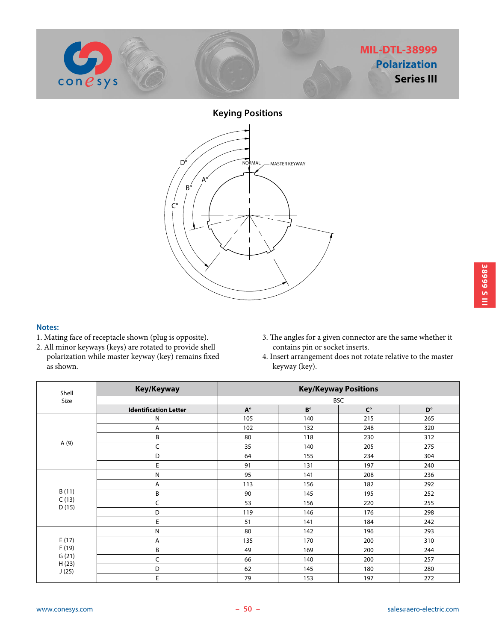

**Keying Positions**  $C^{\circ}$  $B^{\circ}$  $D^{\circ}$ A° NORMAL ANASTER KEYWAY

#### **Notes:**

- 1. Mating face of receptacle shown (plug is opposite).
- 2. All minor keyways (keys) are rotated to provide shell polarization while master keyway (key) remains fixed as shown.
- 3. The angles for a given connector are the same whether it contains pin or socket inserts.
- 4. Insert arrangement does not rotate relative to the master keyway (key).

| Shell          | Key/Keyway                   | <b>Key/Keyway Positions</b> |             |             |             |  |  |  |  |
|----------------|------------------------------|-----------------------------|-------------|-------------|-------------|--|--|--|--|
| Size           |                              |                             |             | <b>BSC</b>  |             |  |  |  |  |
|                | <b>Identification Letter</b> | $A^{\circ}$                 | $B^{\circ}$ | $C^{\circ}$ | $D^{\circ}$ |  |  |  |  |
|                | N                            | 105                         | 140         | 215         | 265         |  |  |  |  |
|                | A                            | 102                         | 132         | 248         | 320         |  |  |  |  |
|                | B                            | 80                          | 118         | 230         | 312         |  |  |  |  |
| A (9)          | C                            | 35                          | 140         | 205         | 275         |  |  |  |  |
|                | D                            | 64                          | 155         | 234         | 304         |  |  |  |  |
|                | E                            | 91                          | 131         | 197         | 240         |  |  |  |  |
|                | N                            | 95                          | 141         | 208         | 236         |  |  |  |  |
|                | Α                            | 113                         | 156         | 182         | 292         |  |  |  |  |
| B(11)          | B                            | 90                          | 145         | 195         | 252         |  |  |  |  |
| C(13)<br>D(15) | C                            | 53                          | 156         | 220         | 255         |  |  |  |  |
|                | D                            | 119                         | 146         | 176         | 298         |  |  |  |  |
|                | E                            | 51                          | 141         | 184         | 242         |  |  |  |  |
|                | Ν                            | 80                          | 142         | 196         | 293         |  |  |  |  |
| E(17)          | Α                            | 135                         | 170         | 200         | 310         |  |  |  |  |
| F(19)          | B                            | 49                          | 169         | 200         | 244         |  |  |  |  |
| G(21)<br>H(23) | C                            | 66                          | 140         | 200         | 257         |  |  |  |  |
| J(25)          | D                            | 62                          | 145         | 180         | 280         |  |  |  |  |
|                | E                            | 79                          | 153         | 197         | 272         |  |  |  |  |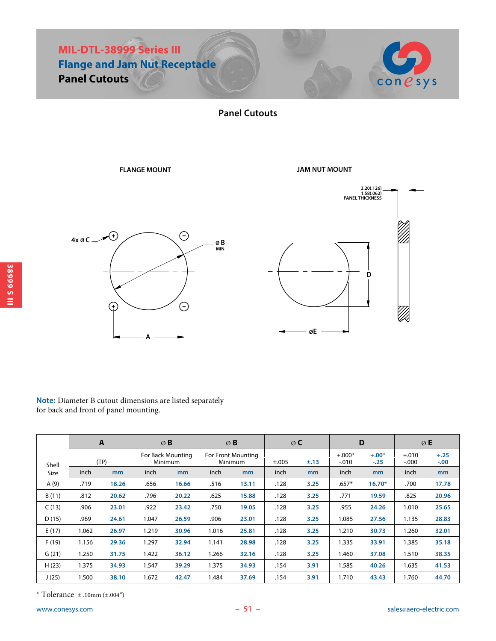



**Panel Cutouts**

#### **FLANGE MOUNT**

**JAM NUT MOUNT**





| Note: Diameter B cutout dimensions are listed separately |
|----------------------------------------------------------|
| for back and front of panel mounting.                    |

|       |       | $\mathbf{A}$ |       | ØB                                  |                               | ØB    |       | $\emptyset$ C  |                     | D                 | ØE                  |                   |
|-------|-------|--------------|-------|-------------------------------------|-------------------------------|-------|-------|----------------|---------------------|-------------------|---------------------|-------------------|
| Shell |       | (TP)         |       | For Back Mounting<br><b>Minimum</b> | For Front Mounting<br>Minimum |       | ±.005 | $\pm .13$      | $+.000*$<br>$-.010$ | $+.00*$<br>$-.25$ | $+.010$<br>$-0.000$ | $+.25$<br>$-.00.$ |
| Size  | inch  | mm           | inch  | m <sub>m</sub>                      | inch                          | mm    | inch  | m <sub>m</sub> | inch                | mm                | inch                | m <sub>m</sub>    |
| A(9)  | .719  | 18.26        | .656  | 16.66                               | .516                          | 13.11 | .128  | 3.25           | $.657*$             | $16.70*$          | .700                | 17.78             |
| B(11) | .812  | 20.62        | .796  | 20.22                               | .625                          | 15.88 | .128  | 3.25           | .771                | 19.59             | .825                | 20.96             |
| C(13) | .906  | 23.01        | .922  | 23.42                               | .750                          | 19.05 | .128  | 3.25           | .955                | 24.26             | 1.010               | 25.65             |
| D(15) | .969  | 24.61        | 1.047 | 26.59                               | .906                          | 23.01 | .128  | 3.25           | 1.085               | 27.56             | 1.135               | 28.83             |
| E(17) | 1.062 | 26.97        | 1.219 | 30.96                               | 1.016                         | 25.81 | .128  | 3.25           | 1.210               | 30.73             | 1.260               | 32.01             |
| F(19) | 1.156 | 29.36        | 1.297 | 32.94                               | 1.141                         | 28.98 | .128  | 3.25           | 1.335               | 33.91             | 1.385               | 35.18             |
| G(21) | 1.250 | 31.75        | 1.422 | 36.12                               | 1.266                         | 32.16 | .128  | 3.25           | 1.460               | 37.08             | 1.510               | 38.35             |
| H(23) | 1.375 | 34.93        | 1.547 | 39.29                               | 1.375                         | 34.93 | .154  | 3.91           | 1.585               | 40.26             | 1.635               | 41.53             |
| J(25) | 1.500 | 38.10        | 1.672 | 42.47                               | 1.484                         | 37.69 | .154  | 3.91           | 1.710               | 43.43             | 1.760               | 44.70             |

 $*$  Tolerance  $\pm$  .10mm ( $\pm$ .004")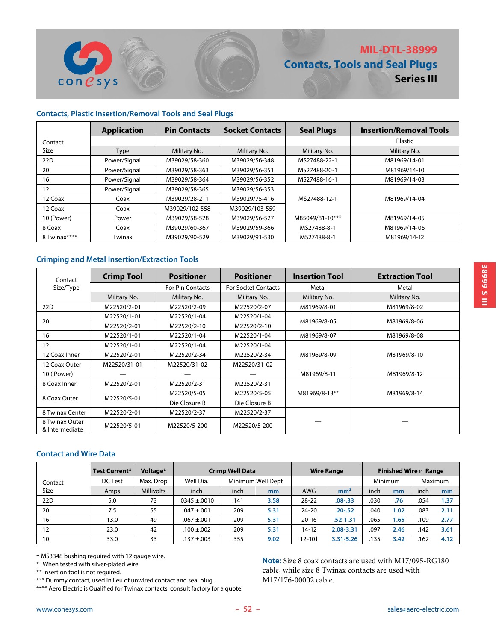

#### **Contacts, Plastic Insertion/Removal Tools and Seal Plugs**

 $cone$ sys

|              | <b>Application</b> | <b>Pin Contacts</b> | <b>Socket Contacts</b> | <b>Seal Plugs</b> | <b>Insertion/Removal Tools</b> |
|--------------|--------------------|---------------------|------------------------|-------------------|--------------------------------|
| Contact      |                    |                     |                        |                   | Plastic                        |
| Size         | <b>Type</b>        | Military No.        | Military No.           | Military No.      | Military No.                   |
| 22D          | Power/Signal       | M39029/58-360       | M39029/56-348          | MS27488-22-1      | M81969/14-01                   |
| 20           | Power/Signal       | M39029/58-363       | M39029/56-351          | MS27488-20-1      | M81969/14-10                   |
| 16           | Power/Signal       | M39029/58-364       | M39029/56-352          | MS27488-16-1      | M81969/14-03                   |
| 12           | Power/Signal       | M39029/58-365       | M39029/56-353          |                   |                                |
| 12 Coax      | Coax               | M39029/28-211       | M39029/75-416          | MS27488-12-1      | M81969/14-04                   |
| 12 Coax      | Coax               | M39029/102-558      | M39029/103-559         |                   |                                |
| 10 (Power)   | Power              | M39029/58-528       | M39029/56-527          | M85049/81-10***   | M81969/14-05                   |
| 8 Coax       | Coax               | M39029/60-367       | M39029/59-366          | MS27488-8-1       | M81969/14-06                   |
| 8 Twinax**** | Twinax             | M39029/90-529       | M39029/91-530          | MS27488-8-1       | M81969/14-12                   |

#### **Crimping and Metal Insertion/Extraction Tools**

| Contact                          | <b>Crimp Tool</b> | <b>Positioner</b>       | <b>Positioner</b>          | <b>Insertion Tool</b> | <b>Extraction Tool</b> |
|----------------------------------|-------------------|-------------------------|----------------------------|-----------------------|------------------------|
| Size/Type                        |                   | <b>For Pin Contacts</b> | <b>For Socket Contacts</b> | Metal                 | Metal                  |
|                                  | Military No.      | Military No.            | Military No.               | Military No.          | Military No.           |
| 22D                              | M22520/2-01       | M22520/2-09             | M22520/2-07                | M81969/8-01           | M81969/8-02            |
| 20                               | M22520/1-01       | M22520/1-04             | M22520/1-04                | M81969/8-05           |                        |
|                                  | M22520/2-01       | M22520/2-10             | M22520/2-10                |                       | M81969/8-06            |
| 16                               | M22520/1-01       | M22520/1-04             | M22520/1-04                | M81969/8-07           | M81969/8-08            |
| 12                               | M22520/1-01       | M22520/1-04             | M22520/1-04                |                       |                        |
| 12 Coax Inner                    | M22520/2-01       | M22520/2-34             | M22520/2-34                | M81969/8-09           | M81969/8-10            |
| 12 Coax Outer                    | M22520/31-01      | M22520/31-02            | M22520/31-02               |                       |                        |
| 10 (Power)                       |                   |                         |                            | M81969/8-11           | M81969/8-12            |
| 8 Coax Inner                     | M22520/2-01       | M22520/2-31             | M22520/2-31                |                       |                        |
| 8 Coax Outer                     |                   | M22520/5-05             | M22520/5-05                | M81969/8-13**         | M81969/8-14            |
|                                  | M22520/5-01       | Die Closure B           | Die Closure B              |                       |                        |
| 8 Twinax Center                  | M22520/2-01       | M22520/2-37             | M22520/2-37                |                       |                        |
| 8 Twinax Outer<br>& Intermediate | M22520/5-01       | M22520/5-200            | M22520/5-200               |                       |                        |

#### **Contact and Wire Data**

|         | Test Current* | Voltage*          | <b>Crimp Well Data</b> |                   | <b>Wire Range</b> | Finished Wire $\oslash$ Range |                 |                |      |         |      |
|---------|---------------|-------------------|------------------------|-------------------|-------------------|-------------------------------|-----------------|----------------|------|---------|------|
| Contact | DC Test       | Max. Drop         | Well Dia.              | Minimum Well Dept |                   |                               |                 | <b>Minimum</b> |      | Maximum |      |
| Size    | <b>Amps</b>   | <b>Millivolts</b> | inch                   | inch              | m <sub>m</sub>    | <b>AWG</b>                    | mm <sup>2</sup> | inch           | mm   | inch    | mm   |
| 22D     | 5.0           | 73                | $.0345 \pm .0010$      | .141              | 3.58              | $28 - 22$                     | $.08 - .33$     | .030           | .76  | .054    | 1.37 |
| 20      | 7.5           | 55                | $.047 \pm .001$        | .209              | 5.31              | $24 - 20$                     | $.20 - .52$     | .040           | 1.02 | .083    | 2.11 |
| 16      | 13.0          | 49                | $.067 \pm .001$        | .209              | 5.31              | $20 - 16$                     | $.52 - 1.31$    | .065           | 1.65 | .109    | 2.77 |
|         | 23.0          | 42                | $.100 \pm .002$        | .209              | 5.31              | $14 - 12$                     | 2.08-3.31       | .097           | 2.46 | .142    | 3.61 |
| 10      | 33.0          | 33                | $.137 \pm .003$        | .355              | 9.02              | $12 - 10 +$                   | $3.31 - 5.26$   | .135           | 3.42 | .162    | 4.12 |

† MS3348 bushing required with 12 gauge wire.

\* When tested with silver-plated wire.

\*\* Insertion tool is not required.

\*\*\* Dummy contact, used in lieu of unwired contact and seal plug.

\*\*\*\* Aero Electric is Qualified for Twinax contacts, consult factory for a quote.

**Note:** Size 8 coax contacts are used with M17/095-RG180 cable, while size 8 Twinax contacts are used with M17/176-00002 cable.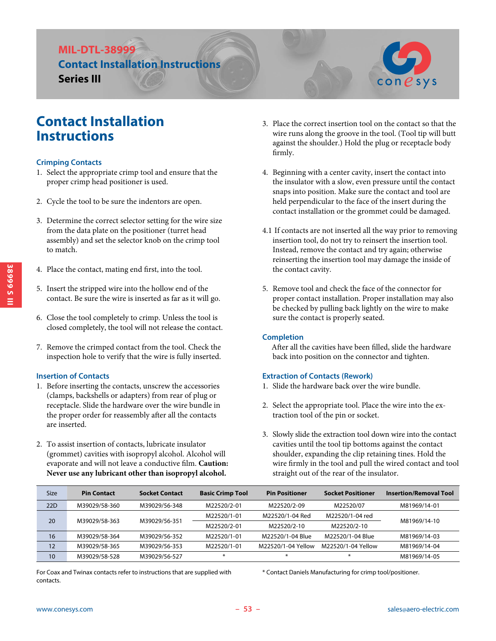## **MIL-DTL-38999 Contact Installation Instructions Series III**



#### **Crimping Contacts**

- 1. Select the appropriate crimp tool and ensure that the proper crimp head positioner is used.
- 2. Cycle the tool to be sure the indentors are open.
- 3. Determine the correct selector setting for the wire size from the data plate on the positioner (turret head assembly) and set the selector knob on the crimp tool to match.
- 4. Place the contact, mating end first, into the tool.
- 5. Insert the stripped wire into the hollow end of the contact. Be sure the wire is inserted as far as it will go.
- 6. Close the tool completely to crimp. Unless the tool is closed completely, the tool will not release the contact.
- 7. Remove the crimped contact from the tool. Check the inspection hole to verify that the wire is fully inserted.

#### **Insertion of Contacts**

- 1. Before inserting the contacts, unscrew the accessories (clamps, backshells or adapters) from rear of plug or receptacle. Slide the hardware over the wire bundle in the proper order for reassembly after all the contacts are inserted.
- 2. To assist insertion of contacts, lubricate insulator (grommet) cavities with isopropyl alcohol. Alcohol will evaporate and will not leave a conductive film. **Caution: Never use any lubricant other than isopropyl alcohol.**
- 3. Place the correct insertion tool on the contact so that the wire runs along the groove in the tool. (Tool tip will butt against the shoulder.) Hold the plug or receptacle body firmly.
- 4. Beginning with a center cavity, insert the contact into the insulator with a slow, even pressure until the contact snaps into position. Make sure the contact and tool are held perpendicular to the face of the insert during the contact installation or the grommet could be damaged.
- 4.1 If contacts are not inserted all the way prior to removing insertion tool, do not try to reinsert the insertion tool. Instead, remove the contact and try again; otherwise reinserting the insertion tool may damage the inside of the contact cavity.
- 5. Remove tool and check the face of the connector for proper contact installation. Proper installation may also be checked by pulling back lightly on the wire to make sure the contact is properly seated.

#### **Completion**

 After all the cavities have been filled, slide the hardware back into position on the connector and tighten.

#### **Extraction of Contacts (Rework)**

- 1. Slide the hardware back over the wire bundle.
- 2. Select the appropriate tool. Place the wire into the extraction tool of the pin or socket.
- 3. Slowly slide the extraction tool down wire into the contact cavities until the tool tip bottoms against the contact shoulder, expanding the clip retaining tines. Hold the wire firmly in the tool and pull the wired contact and tool straight out of the rear of the insulator.

| Size | <b>Pin Contact</b> | <b>Socket Contact</b> | <b>Basic Crimp Tool</b> | <b>Pin Positioner</b> | <b>Socket Positioner</b> | <b>Insertion/Removal Tool</b> |  |
|------|--------------------|-----------------------|-------------------------|-----------------------|--------------------------|-------------------------------|--|
| 22D  | M39029/58-360      | M39029/56-348         | M22520/2-01             | M22520/2-09           | M22520/07                | M81969/14-01                  |  |
| 20   | M39029/58-363      | M39029/56-351         | M22520/1-01             | M22520/1-04 Red       | M22520/1-04 red          | M81969/14-10                  |  |
|      |                    |                       | M22520/2-01             | M22520/2-10           | M22520/2-10              |                               |  |
| 16   | M39029/58-364      | M39029/56-352         | M22520/1-01             | M22520/1-04 Blue      | M22520/1-04 Blue         | M81969/14-03                  |  |
| 12   | M39029/58-365      | M39029/56-353         | M22520/1-01             | M22520/1-04 Yellow    | M22520/1-04 Yellow       | M81969/14-04                  |  |
| 10   | M39029/58-528      | M39029/56-527         | $\ast$                  | $\ast$                | $\ast$                   | M81969/14-05                  |  |

For Coax and Twinax contacts refer to instructions that are supplied with contacts.

\* Contact Daniels Manufacturing for crimp tool/positioner.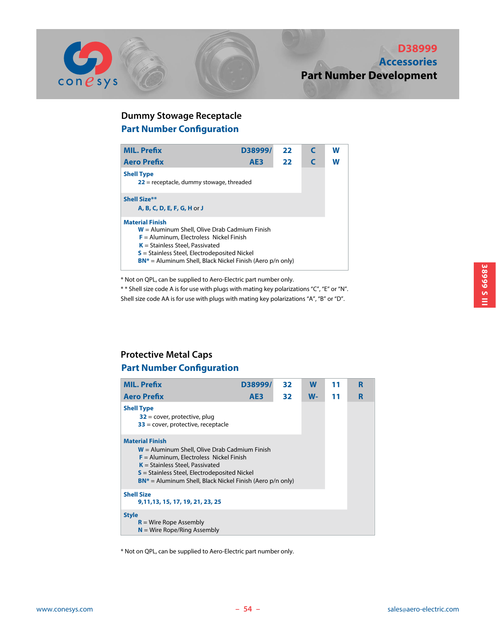

## **Part Number Configuration Dummy Stowage Receptacle**

| <b>MIL. Prefix</b>                                                                                                                                                                                                                                                            | D38999/         | 22 |   | w |
|-------------------------------------------------------------------------------------------------------------------------------------------------------------------------------------------------------------------------------------------------------------------------------|-----------------|----|---|---|
| <b>Aero Prefix</b>                                                                                                                                                                                                                                                            | AE <sub>3</sub> | 22 | C | W |
| <b>Shell Type</b><br>$22$ = receptacle, dummy stowage, threaded                                                                                                                                                                                                               |                 |    |   |   |
| <b>Shell Size**</b><br>A. B. C. D. E. F. G. H or J                                                                                                                                                                                                                            |                 |    |   |   |
| <b>Material Finish</b><br>$W =$ Aluminum Shell, Olive Drab Cadmium Finish<br>$F =$ Aluminum, Electroless Nickel Finish<br>$K =$ Stainless Steel, Passivated<br>$S$ = Stainless Steel, Electrodeposited Nickel<br>$BN^*$ = Aluminum Shell, Black Nickel Finish (Aero p/n only) |                 |    |   |   |

\* Not on QPL, can be supplied to Aero-Electric part number only.

\* \* Shell size code A is for use with plugs with mating key polarizations "C", "E" or "N". Shell size code AA is for use with plugs with mating key polarizations "A", "B" or "D".

## **Part Number Configuration Protective Metal Caps**

| <b>MIL. Prefix</b>                                                                                                                                                                                                                                                              | D38999/ | 32 | W     | 11 | R |  |  |  |
|---------------------------------------------------------------------------------------------------------------------------------------------------------------------------------------------------------------------------------------------------------------------------------|---------|----|-------|----|---|--|--|--|
| <b>Aero Prefix</b>                                                                                                                                                                                                                                                              | AE3     | 32 | $W -$ | 11 | R |  |  |  |
| <b>Shell Type</b><br>$32$ = cover, protective, plug<br>$33$ = cover, protective, receptacle                                                                                                                                                                                     |         |    |       |    |   |  |  |  |
| <b>Material Finish</b><br>$W =$ Aluminum Shell, Olive Drab Cadmium Finish<br>$F =$ Aluminum, Electroless Nickel Finish<br>$K =$ Stainless Steel, Passivated<br>$S$ = Stainless Steel, Electrodeposited Nickel<br>$BN^*$ = Aluminum Shell, Black Nickel Finish (Aero $p/n$ only) |         |    |       |    |   |  |  |  |
| <b>Shell Size</b><br>9, 11, 13, 15, 17, 19, 21, 23, 25                                                                                                                                                                                                                          |         |    |       |    |   |  |  |  |
| <b>Style</b><br>$R =$ Wire Rope Assembly<br>$N =$ Wire Rope/Ring Assembly                                                                                                                                                                                                       |         |    |       |    |   |  |  |  |

\* Not on QPL, can be supplied to Aero-Electric part number only.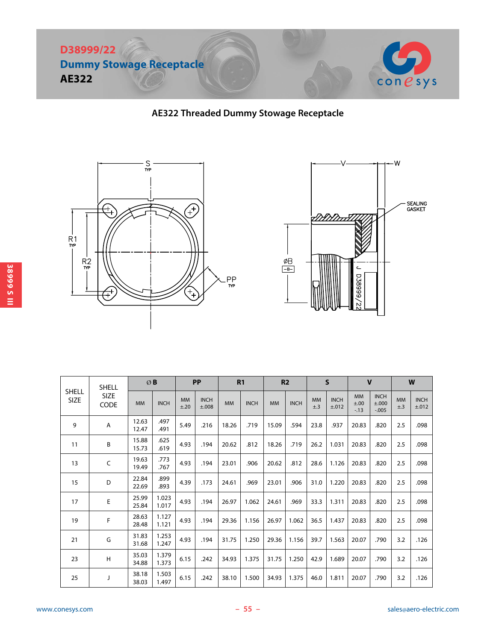

## **AE322 Threaded Dummy Stowage Receptacle**





|                      | <b>SHELL</b>        |                | ØB             |                   | <b>PP</b>            |           | R1          |           | R <sub>2</sub> |                  | $\mathsf{S}$         | $\mathbf{V}$               |                                  |                       | W                    |
|----------------------|---------------------|----------------|----------------|-------------------|----------------------|-----------|-------------|-----------|----------------|------------------|----------------------|----------------------------|----------------------------------|-----------------------|----------------------|
| <b>SHELL</b><br>SIZE | <b>SIZE</b><br>CODE | <b>MM</b>      | <b>INCH</b>    | <b>MM</b><br>±.20 | <b>INCH</b><br>±.008 | <b>MM</b> | <b>INCH</b> | <b>MM</b> | <b>INCH</b>    | <b>MM</b><br>±.3 | <b>INCH</b><br>±.012 | <b>MM</b><br>±.00<br>$-13$ | <b>INCH</b><br>±.000<br>$-0.005$ | <b>MM</b><br>$\pm .3$ | <b>INCH</b><br>±.012 |
| 9                    | Α                   | 12.63<br>12.47 | .497<br>.491   | 5.49              | .216                 | 18.26     | .719        | 15.09     | .594           | 23.8             | .937                 | 20.83                      | .820                             | 2.5                   | .098                 |
| 11                   | B                   | 15.88<br>15.73 | .625<br>.619   | 4.93              | .194                 | 20.62     | .812        | 18.26     | .719           | 26.2             | 1.031                | 20.83                      | .820                             | 2.5                   | .098                 |
| 13                   | $\mathsf C$         | 19.63<br>19.49 | .773<br>.767   | 4.93              | .194                 | 23.01     | .906        | 20.62     | .812           | 28.6             | 1.126                | 20.83                      | .820                             | 2.5                   | .098                 |
| 15                   | D                   | 22.84<br>22.69 | .899<br>.893   | 4.39              | .173                 | 24.61     | .969        | 23.01     | .906           | 31.0             | 1.220                | 20.83                      | .820                             | 2.5                   | .098                 |
| 17                   | $\mathsf E$         | 25.99<br>25.84 | 1.023<br>1.017 | 4.93              | .194                 | 26.97     | 1.062       | 24.61     | .969           | 33.3             | 1.311                | 20.83                      | .820                             | 2.5                   | .098                 |
| 19                   | F                   | 28.63<br>28.48 | 1.127<br>1.121 | 4.93              | .194                 | 29.36     | 1.156       | 26.97     | 1.062          | 36.5             | 1.437                | 20.83                      | .820                             | 2.5                   | .098                 |
| 21                   | G                   | 31.83<br>31.68 | 1.253<br>1.247 | 4.93              | .194                 | 31.75     | 1.250       | 29.36     | 1.156          | 39.7             | 1.563                | 20.07                      | .790                             | 3.2                   | .126                 |
| 23                   | Н                   | 35.03<br>34.88 | 1.379<br>1.373 | 6.15              | .242                 | 34.93     | 1.375       | 31.75     | 1.250          | 42.9             | 1.689                | 20.07                      | .790                             | 3.2                   | .126                 |
| 25                   | J                   | 38.18<br>38.03 | 1.503<br>1.497 | 6.15              | .242                 | 38.10     | 1.500       | 34.93     | 1.375          | 46.0             | 1.811                | 20.07                      | .790                             | 3.2                   | .126                 |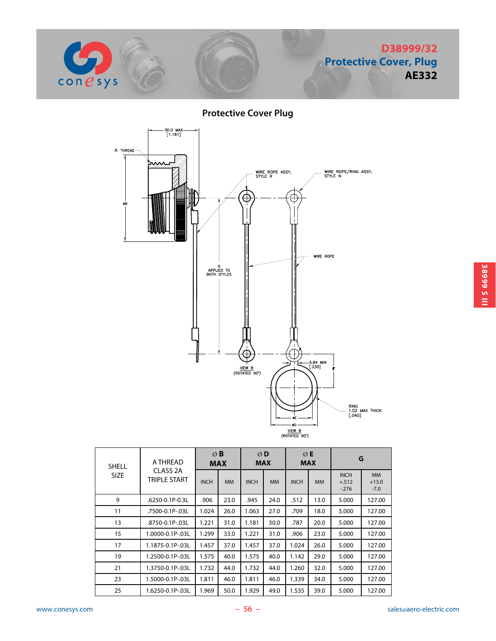

**Protective Cover Plug**



| <b>SHELL</b> | A THREAD                 | $\emptyset$ B<br><b>MAX</b> |           | ØD<br><b>MAX</b> |           |             | ØE<br><b>MAX</b> | G                                |                                |  |
|--------------|--------------------------|-----------------------------|-----------|------------------|-----------|-------------|------------------|----------------------------------|--------------------------------|--|
| <b>SIZE</b>  | CLASS 2A<br>TRIPLE START | <b>INCH</b>                 | <b>MM</b> | <b>INCH</b>      | <b>MM</b> | <b>INCH</b> | <b>MM</b>        | <b>INCH</b><br>$+.512$<br>$-276$ | <b>MM</b><br>$+13.0$<br>$-7.0$ |  |
| 9            | .6250-0.1P-0.3L          | .906                        | 23.0      | .945             | 24.0      | .512        | 13.0             | 5.000                            | 127.00                         |  |
| 11           | .7500-0.1P-.03L          | 1.024                       | 26.0      | 1.063            | 27.0      | .709        | 18.0             | 5.000                            | 127.00                         |  |
| 13           | .8750-0.1P-.03L          | 1.221                       | 31.0      | 1.181            | 30.0      | .787        | 20.0             | 5.000                            | 127.00                         |  |
| 15           | 1.0000-0.1P-.03L         | 1.299                       | 33.0      | 1.221            | 31.0      | .906        | 23.0             | 5.000                            | 127.00                         |  |
| 17           | 1.1875-0.1P-.03L         | 1.457                       | 37.0      | 1.457            | 37.0      | 1.024       | 26.0             | 5.000                            | 127.00                         |  |
| 19           | 1.2500-0.1P-.03L         | 1.575                       | 40.0      | 1.575            | 40.0      | 1.142       | 29.0             | 5.000                            | 127.00                         |  |
| 21           | 1.3750-0.1P-.03L         | 1.732                       | 44.0      | 1.732            | 44.0      | 1.260       | 32.0             | 5.000                            | 127.00                         |  |
| 23           | 1.5000-0.1P-.03L         | 1.811                       | 46.0      | 1.811            | 46.0      | 1.339       | 34.0             | 5.000                            | 127.00                         |  |
| 25           | 1.6250-0.1P-.03L         | 1.969                       | 50.0      | 1.929            | 49.0      | 1.535       | 39.0             | 5.000                            | 127.00                         |  |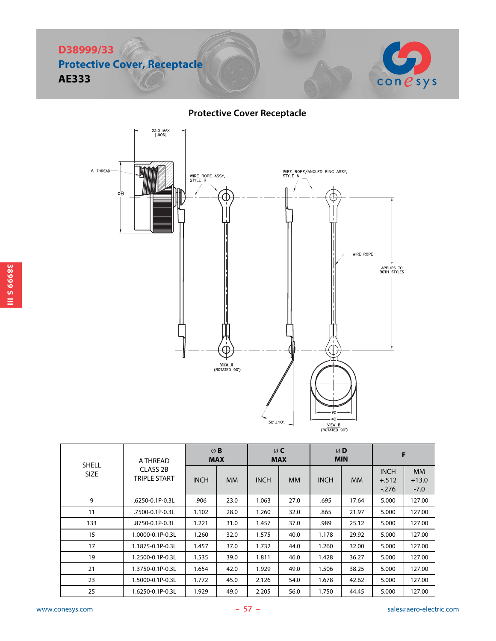

## **Protective Cover Receptacle**



| <b>SHELL</b> | A THREAD                        | ØB<br><b>MAX</b> |           |             | ØC<br><b>MAX</b> |             | ØD<br><b>MIN</b> | F                                 |                                |  |
|--------------|---------------------------------|------------------|-----------|-------------|------------------|-------------|------------------|-----------------------------------|--------------------------------|--|
| <b>SIZE</b>  | CLASS 2B<br><b>TRIPLE START</b> | <b>INCH</b>      | <b>MM</b> | <b>INCH</b> | MM.              | <b>INCH</b> | <b>MM</b>        | <b>INCH</b><br>$+.512$<br>$-.276$ | <b>MM</b><br>$+13.0$<br>$-7.0$ |  |
| 9            | .6250-0.1P-0.3L                 | .906             | 23.0      | 1.063       | 27.0             | .695        | 17.64            | 5.000                             | 127.00                         |  |
| 11           | .7500-0.1P-0.3L                 | 1.102            | 28.0      | 1.260       | 32.0             | .865        | 21.97            | 5.000                             | 127.00                         |  |
| 133          | .8750-0.1P-0.3L                 | 1.221            | 31.0      | 1.457       | 37.0             | .989        | 25.12            | 5.000                             | 127.00                         |  |
| 15           | 1.0000-0.1P-0.3L                | 1.260            | 32.0      | 1.575       | 40.0             | 1.178       | 29.92            | 5.000                             | 127.00                         |  |
| 17           | 1.1875-0.1P-0.3L                | 1.457            | 37.0      | 1.732       | 44.0             | 1.260       | 32.00            | 5.000                             | 127.00                         |  |
| 19           | 1.2500-0.1P-0.3L                | 1.535            | 39.0      | 1.811       | 46.0             | 1.428       | 36.27            | 5.000                             | 127.00                         |  |
| 21           | 1.3750-0.1P-0.3L                | 1.654            | 42.0      | 1.929       | 49.0             | 1.506       | 38.25            | 5.000                             | 127.00                         |  |
| 23           | 1.5000-0.1P-0.3L                | 1.772            | 45.0      | 2.126       | 54.0             | 1.678       | 42.62            | 5.000                             | 127.00                         |  |
| 25           | 1.6250-0.1P-0.3L                | 1.929            | 49.0      | 2.205       | 56.0             | 1.750       | 44.45            | 5.000                             | 127.00                         |  |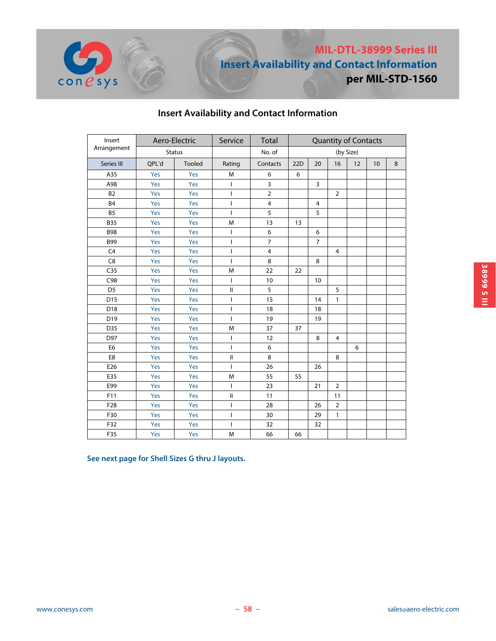

| Insert<br>Aero-Electric |       | Service       | <b>Total</b>             |                |     |                |                | <b>Quantity of Contacts</b> |    |   |  |
|-------------------------|-------|---------------|--------------------------|----------------|-----|----------------|----------------|-----------------------------|----|---|--|
| Arrangement             |       | <b>Status</b> |                          | No. of         |     | (by Size)      |                |                             |    |   |  |
| Series III              | QPL'd | <b>Tooled</b> | Rating                   | Contacts       | 22D | 20             | 16             | 12                          | 10 | 8 |  |
| A35                     | Yes   | Yes           | M                        | 6              | 6   |                |                |                             |    |   |  |
| A98                     | Yes   | Yes           | $\overline{\phantom{a}}$ | 3              |     | 3              |                |                             |    |   |  |
| <b>B2</b>               | Yes   | Yes           | $\overline{\phantom{a}}$ | $\overline{2}$ |     |                | $\overline{2}$ |                             |    |   |  |
| <b>B4</b>               | Yes   | Yes           | $\mathbf{I}$             | $\overline{4}$ |     | 4              |                |                             |    |   |  |
| <b>B5</b>               | Yes   | Yes           | $\mathbf{I}$             | 5              |     | 5              |                |                             |    |   |  |
| <b>B35</b>              | Yes   | Yes           | M                        | 13             | 13  |                |                |                             |    |   |  |
| <b>B98</b>              | Yes   | Yes           | $\overline{\phantom{a}}$ | 6              |     | 6              |                |                             |    |   |  |
| <b>B99</b>              | Yes   | Yes           | $\mathbf{I}$             | $\overline{7}$ |     | $\overline{7}$ |                |                             |    |   |  |
| C <sub>4</sub>          | Yes   | Yes           | $\mathbf{I}$             | $\overline{4}$ |     |                | $\overline{4}$ |                             |    |   |  |
| C <sub>8</sub>          | Yes   | Yes           | $\mathbf{I}$             | 8              |     | 8              |                |                             |    |   |  |
| C <sub>35</sub>         | Yes   | Yes           | M                        | 22             | 22  |                |                |                             |    |   |  |
| C98                     | Yes   | Yes           | ı                        | 10             |     | 10             |                |                             |    |   |  |
| D <sub>5</sub>          | Yes   | Yes           | $\mathbf{I}$             | 5              |     |                | 5              |                             |    |   |  |
| D15                     | Yes   | Yes           | I                        | 15             |     | 14             | $\mathbf{1}$   |                             |    |   |  |
| D18                     | Yes   | Yes           | I                        | 18             |     | 18             |                |                             |    |   |  |
| D19                     | Yes   | Yes           | ı                        | 19             |     | 19             |                |                             |    |   |  |
| D35                     | Yes   | Yes           | M                        | 37             | 37  |                |                |                             |    |   |  |
| D97                     | Yes   | Yes           | I                        | 12             |     | 8              | $\overline{4}$ |                             |    |   |  |
| E <sub>6</sub>          | Yes   | Yes           | $\overline{1}$           | 6              |     |                |                | 6                           |    |   |  |
| E8                      | Yes   | Yes           | $\mathsf{I}$             | 8              |     |                | 8              |                             |    |   |  |
| E26                     | Yes   | Yes           | ı                        | 26             |     | 26             |                |                             |    |   |  |
| E35                     | Yes   | Yes           | M                        | 55             | 55  |                |                |                             |    |   |  |
| E99                     | Yes   | Yes           | I                        | 23             |     | 21             | $\overline{2}$ |                             |    |   |  |
| F11                     | Yes   | Yes           | $\sf II$                 | 11             |     |                | 11             |                             |    |   |  |
| F28                     | Yes   | Yes           | I                        | 28             |     | 26             | $\overline{2}$ |                             |    |   |  |
| F30                     | Yes   | Yes           | I                        | 30             |     | 29             | 1              |                             |    |   |  |
| F32                     | Yes   | Yes           | ı                        | 32             |     | 32             |                |                             |    |   |  |
| F35                     | Yes   | Yes           | M                        | 66             | 66  |                |                |                             |    |   |  |

## **Insert Availability and Contact Information**

**See next page for Shell Sizes G thru J layouts.**

 $cone$ sys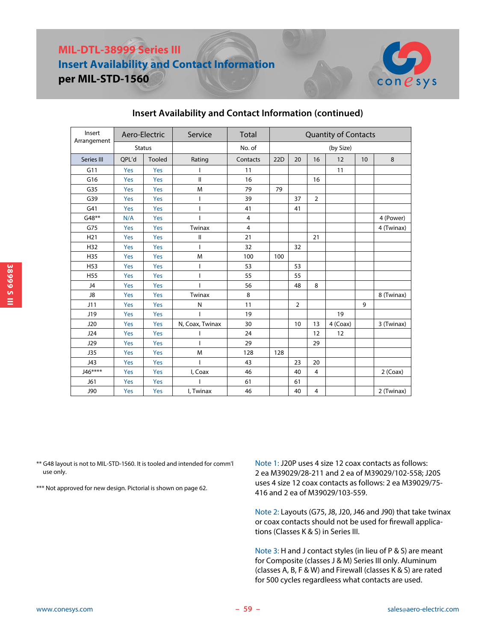# **MIL-DTL-38999 Series III Insert Availability and Contact Information per MIL-STD-1560**



| Insert<br>Arrangement | Aero-Electric |               | Service         | Total          | <b>Quantity of Contacts</b> |                |                |          |    |            |
|-----------------------|---------------|---------------|-----------------|----------------|-----------------------------|----------------|----------------|----------|----|------------|
|                       |               | <b>Status</b> |                 | No. of         |                             | (by Size)      |                |          |    |            |
| Series III            | OPL'd         | <b>Tooled</b> | Rating          | Contacts       | 22D                         | 20             | 16             | 12       | 10 | 8          |
| G11                   | Yes           | Yes           |                 | 11             |                             |                |                | 11       |    |            |
| G16                   | Yes           | Yes           | Ш               | 16             |                             |                | 16             |          |    |            |
| G35                   | Yes           | Yes           | M               | 79             | 79                          |                |                |          |    |            |
| G39                   | Yes           | Yes           | T               | 39             |                             | 37             | $\overline{2}$ |          |    |            |
| G41                   | Yes           | Yes           | $\overline{1}$  | 41             |                             | 41             |                |          |    |            |
| G48**                 | N/A           | Yes           | $\mathbf{I}$    | $\overline{4}$ |                             |                |                |          |    | 4 (Power)  |
| G75                   | Yes           | Yes           | Twinax          | $\overline{4}$ |                             |                |                |          |    | 4 (Twinax) |
| H <sub>21</sub>       | Yes           | Yes           | $\mathsf{I}$    | 21             |                             |                | 21             |          |    |            |
| H32                   | Yes           | Yes           | $\overline{1}$  | 32             |                             | 32             |                |          |    |            |
| H35                   | Yes           | Yes           | M               | 100            | 100                         |                |                |          |    |            |
| H <sub>53</sub>       | Yes           | Yes           | T               | 53             |                             | 53             |                |          |    |            |
| H <sub>55</sub>       | Yes           | Yes           | $\mathsf{I}$    | 55             |                             | 55             |                |          |    |            |
| J4                    | Yes           | Yes           | $\overline{1}$  | 56             |                             | 48             | 8              |          |    |            |
| J8                    | Yes           | Yes           | Twinax          | 8              |                             |                |                |          |    | 8 (Twinax) |
| J11                   | Yes           | Yes           | N               | 11             |                             | $\overline{2}$ |                |          | 9  |            |
| J19                   | Yes           | Yes           | ı               | 19             |                             |                |                | 19       |    |            |
| J20                   | Yes           | Yes           | N, Coax, Twinax | 30             |                             | 10             | 13             | 4 (Coax) |    | 3 (Twinax) |
| J24                   | Yes           | Yes           |                 | 24             |                             |                | 12             | 12       |    |            |
| J29                   | Yes           | Yes           | $\overline{1}$  | 29             |                             |                | 29             |          |    |            |
| J35                   | Yes           | Yes           | M               | 128            | 128                         |                |                |          |    |            |
| J43                   | Yes           | Yes           |                 | 43             |                             | 23             | 20             |          |    |            |
| J46****               | Yes           | Yes           | I, Coax         | 46             |                             | 40             | $\overline{4}$ |          |    | $2$ (Coax) |
| J61                   | Yes           | Yes           |                 | 61             |                             | 61             |                |          |    |            |
| J90                   | Yes           | Yes           | I, Twinax       | 46             |                             | 40             | 4              |          |    | 2 (Twinax) |

### **Insert Availability and Contact Information (continued)**

\*\* G48 layout is not to MIL-STD-1560. It is tooled and intended for comm'l use only.

\*\*\* Not approved for new design. Pictorial is shown on page 62.

Note 1: J20P uses 4 size 12 coax contacts as follows: 2 ea M39029/28-211 and 2 ea of M39029/102-558; J20S uses 4 size 12 coax contacts as follows: 2 ea M39029/75- 416 and 2 ea of M39029/103-559.

Note 2: Layouts (G75, J8, J20, J46 and J90) that take twinax or coax contacts should not be used for firewall applications (Classes K & S) in Series III.

Note 3: H and J contact styles (in lieu of P & S) are meant for Composite (classes J & M) Series III only. Aluminum (classes A, B, F & W) and Firewall (classes K & S) are rated for 500 cycles regardleess what contacts are used.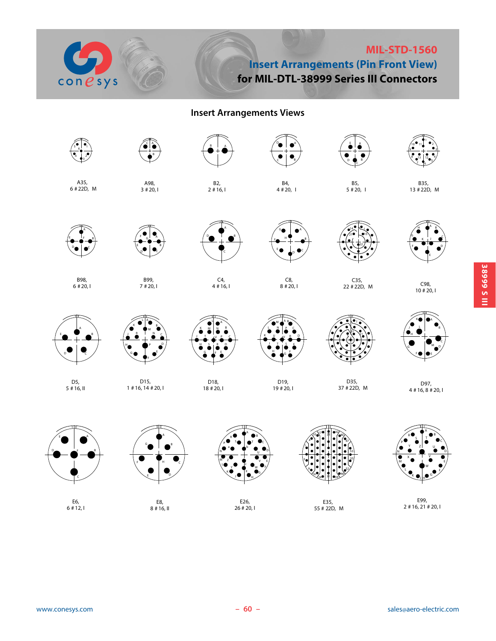

## **MIL-STD-1560 Insert Arrangements (Pin Front View) for MIL-DTL-38999 Series III Connectors**

## **Insert Arrangements Views**



E99,  $2 \# 16, 21 \# 20, 1$ 

**38999 S III**

**SISP 28111** 

E6,  $6 + 12,1$ 

E8, 8 # 16, II

E26, 26 # 20, I

E35, 55 # 22D, M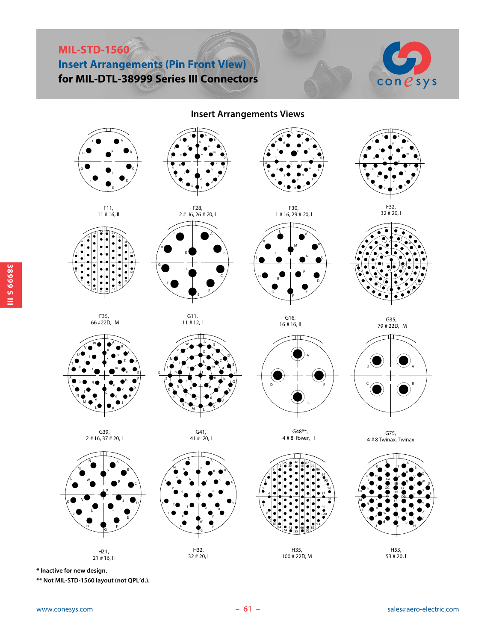# **MIL-STD-1560 Insert Arrangements (Pin Front View) for MIL-DTL-38999 Series III Connectors**



**Insert Arrangements Views**



**\* Inactive for new design.**

**\*\* Not MIL-STD-1560 layout (not QPL'd.).**

www.conesys.com **61** - **61** - **61** sales@aero-electric.com